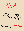

# Someday is **TODAY!**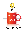

## Ron F. Richard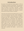### Introduction

My career in the healthcare industry began in 1973. As a respiratory therapist and paramedic, I was dedicated to helping improve the quality of life for people during times of distress and illness. Naturally, I treated patients who were suffering from asthma, COPD, and other breathing conditions and disorders, whether they were the result of illness or accident.

Those who work directly with patients get an up-close and personal glimpse into their unique challenges. I was not an exception. While taking care of patients, primarily those with respiratory conditions and who needed assistance or intervention with ventilation, I witnessed firsthand the frustration and anxiety they experienced as a result. In particular, I observed many patients who were on ventilators, which rendered them unable to talk. Witnessing the distress that stemmed from the loss of communication, which most people take for granted, gave birth to my desire to help them overcome this deficit … and my first invention.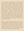The first invention I developed was a communication board used to support patients who have been intubated, and, therefore, rendered unable to speak. It was a simple aid that was utilized by nursing personnel, medical staff, patients, and their family that gave them the ability to communicate their basic needs. After consulting with respiratory patients and staff members, I created a low-cost device that featured specific phrases, all of which were derived from patients who expressed their needs. These phrases were aggregated onto one board, giving a patient the ability to select what they were trying to convey—I'm thirsty, I'm in pain, etc.—and thereby voice their needs, eliminating the challenge, frustration, and anxiety of their silence.

While my communication board was simple, it garnered attention in the medical field, and an article was published in a medical journal about this device. As the invention reached a wider audience, interest in it gained traction, and with the permission of the hospital, I commercialized it; approximately 250,000 communication boards have been sold to date.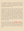As a respiratory therapist, I was able to directly help the patients I came into contact with, but as an investor, I have been able to help patients in hospitals and facilities across the world.

In this world where we now are faced with many changes in life and how we practice medicine, it's imperative we – the inventors in the medical world create new solutions to meet the growing challenges before us. The pandemic associated with COVID-19 will and has made a global impact on our economy and the medical world. In fact, it has become more visible to the world just how essential clinics, ventilators, testing, and, most important, clinicians are to the future of this planet.

Like the title of the book says, *Someday is Today,* so let's get those ideas and inventions out of the coffee cup and into action and see how many patients and clinicians we can help by improving outcomes and care.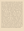Like me, medical practitioners often see unmet needs with their patients. There may be a current product or device that could benefit from improvement, or they may have a revolutionary idea that requires product development, engineering, and the gamut of steps that are required to take an idea from conception to reality. No one can expect medical experts to know these steps, and I am well aware that implementing without assistance can be frustrating. After all, medical practitioners are highly skilled and educated in their industry and specialty; however, the arena of product invention is one that is foreign to them, as well as launching the product and generating sales. With the recent pandemic, we as inventors launching new products face another new challenge. Hospitals and clinics are limiting or not allowing sales reps to make sales calls to their brick and mortar locations. So we need to think outside the box and create new means of communicating—educating—marketing and selling to the medical community. Otherwise, you will be blocked out of the market and sell your new products. We will talk more about this in the chapters ahead.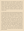Medical personnel has the experience and insight to identify and address many issues, restrictions, and ailments; but when they become inventors, they are lost in a world of uncertainty. However, it wasn't until a couple of years ago that I became aware of the scope of this reality. I was asked to speak to a group of doctors at Stanford University who knew they could create a new

or improved products that would benefit their patients, but they didn't know what the process entailed or how to get started. After talking with them, it came to my attention that there is a need for a guide or resource that medical personnel can use to help them throughout the process. One physician told me he had several ideas for new products, but they were still "floating in his coffee cup." I find this is typical and what I call "analysis paralysis" because getting from the idea to taking the product through engineering, regulatory, manufacturing, sales and marketing is a daunting task. Many years ago when I first started developing products, it was much simpler and less expensive; but over time, the complexity and cost have exponentially grown, as well.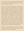Let this book serve as that guide and hopefully get your inventions and ideas to market quicker, at lower costs, and with less frustration.

When I first entered the medical field, I never thought I would be an inventor, but experience and a strong desire to develop products that led to improving healthcare outcomes led me down that path. My father was an inventor. He had a background in electrical engineering, which he learned while serving in the Air Force and working on fighter jets and all sorts of other airplanes. When I was growing up, I was amazed at how my father could make a circuit board and take some wires and create the best electronic components, all from handmade drawings. My father had a real love for music, and I recall him building his own high-fi system from components, and it sounded fantastic. After he passed away, that same analog system came to my home, and I enjoy listening to a lot of the same music I heard when I was growing up.

Inventors are motivated by many reasons for wanting to bring a product to market, and I often find that making money is not the driving factor.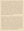In fact, the most successful inventors in the medical field that I personally have worked with have a very outward-looking approach to inventing, much like musicians that I perform within terms of writing and playing songs. Most musicians know that there are very few hit records, but that doesn't deter and stop them from doing what they love and are passionate about, much like inventors. Eight out of ten projects fail or never make it to market, so the chances of getting a product to make a lot of money even if it makes it to markets is still difficult, much like writing a song and seeing it sell millions of copies.

Like myself, it is a given that most physicians and medical specialists want to improve the lives of their patients by creating an improvement or totally new therapy or device. The most successful inventor creates products that solve a problem and look at how that product is going to improve care for their patients, as well as others around the world because, generally speaking, in many ways medicine is practiced the same in the USA as it is in other parts of the world. I had one inventor share with me, "If you put the needs of others ahead of your own, the money will be there."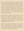And he was right and became quite wealthy during his 30 years in the medical business. He created a number of jobs in his community, but he always put the patient first. I have had clinicians tell me the reason they wanted to get into inventing was to create balance in their lives, reducing the physical hours spent treating patients by creating a product that can aid them in other ways, apart from the current technologies. Still, others are seeking a second business, one that produces revenue, while

enabling them to downsize their practice or work at that full time, rather than working in the clinic or hospital. This book can hopefully assist all of you who are seeking to improve healthcare outcomes while providing you with additional income and an outlet to use different parts of your brain.

Experience has shown me that the first invention is often a stepping stone to additional concepts and ideas. I know a physician who invented a product that bore several other products and spun those out after the initial launch over a period of 5 years.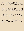After inventing the communication board, I have been issued 15 patents and have launched more than 40 medical devices that have generated sales in excess of a billion dollars.

I have identified the steps and requirements in what can be a complicated process. While my first project was not complex, I know that, even with the most basic projects, the process can be detailed, tedious, and time-consuming. I spent a lot of time interviewing staff and patients when developing my communication board, and this has held true with many of the products I have developed over the past several years. Spending that time with end-users and key stakeholders is an essential step in terms of setting up a baseline for the project. It will also allow you as an inventor to ask yourself and others critical questions, as follows: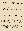What problems does my product solve that have 1. not been addressed by current competitors (your product if it gets to market will be judged by the market as a competitor)?

- Who is the target audience, and what is the number 2. of patients that may use the product?
- What is your 30-second elevator pitch on the 3. project?

(We will talk about how to create this in another chapter.)

Get basic feedback from clinicians and patients on your concept or prototype to enable you to get the project funded or progress to the next steps. As my projects became more complex, like designing ventilators, sleep apnea devices, wearables, and telemedicine systems, I encountered obstacles, such as funding, creating prototypes, and getting the products to market. As I maneuvered through and overcame those challenges, I gained expertise that can help inventors avoid costly errors. This book will prevent or reduce trial and error, thus streamlining the process of inventing a product and bringing it to market.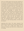There are multiple papers that have been published on the process of inventing and entrepreneurship. But I routinely get calls from inventors or investors looking at new products and seeking help and advice about their "revolutionary" products. One term I personally don't have a good reaction to is "revolutionary, " as most of the time from what I have worked on over the years, the projects offer advantages or benefits that are "evolutionary, " not revolutionary. Evolutionary products are easier to raise money from investors and get through the FDA. I would rather be a "fast follower" in a growing market space versus launching a product that has several unique and let's say difficult value propositions, requiring extensive educational, clinical trials, and marketing efforts in order to get sales ramped up. So, after listening politely, I will ask about the research

supporting their claims. The classic response? "We haven't done the research yet, but we know anecdotally that it works and is totally safe." Based on my experience, making a claim like this for a medical device is a red flag.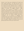Second, I ask, "Have you conducted an IP search yet with a patent attorney?" I can often tell from one or two conversations whether the product has a place in the market and what additional work is needed to move forward and create a launch that has a higher degree of success. The biggest problem I again encounter with inventors or investors is lack of research and potential IP conflicts. There are other key factors we will cover, such as cost of goods, marketing, and sales to get the company off the ground, as well as funding the first 24 months needed post-launch. Companies are so focused on designing and manufacturing new products that they postpone the hard work of getting ready to market them until too late in the game. Always be thinking of how you are going to get sales and who your buyer will be.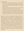Key takeaways:

- 1. Don't create a product that ends up in limbo land (customers need to quickly and easily ascertain what your product does and what patients it will best benefit from).
- Always challenge the project with the questions, 2. "Who will buy this product and at what price?"
- 3. Conduct research and focus groups upfront and get the key features and benefits in the 30-second elevator pitch (discover the main differences that sway the customer in your favor early in the project).

Based on years of experience launching products, I became known in the industry as a marketing expert. I can effectively help identify the key differences and benefits of products and how they differentiate from the competition based on research, past experiences, reviewing market reports, and the competition. I work in a collaborative manner with inventors, and together, we create a marketing message that helps inventors and their products stand apart and claim their corner or niche of the market. This is in the 30-second elevator pitch and also becomes a part of the company's mission statement.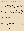Inventing a product or device that has great promise in aiding ailing patients can be rewarding but takes perseverance, patience, teamwork, and a little bit of luck. It is also true that the challenges are real – funding is necessary and not fun when it comes to meeting with investors, and 9 times out of 10, the answer is no or to come back when you get some sales. Howard Schultz, who founded Starbucks, was initially funded by a physician in Seattle who invested \$100,000into the company. But Howard pitched the concepts to over 200 investors and banks before really getting a solid footing in the coffee business. Of course, rejection can delay or sometimes be so discouraging that inventors give up and require presenting in public to strangers, which can be a bit unnerving, as well.

Become comfortable presenting your ideas and inventions and don't "oversell." Just keep to the facts and why the investor will make money if they invest or loan your company funds. I find the inventors who have failed or faced obstacles and were able to overcome them go on to become serial inventors. On the upside, it does get easier once you establish a track record.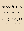There also is a need to understand the nuances of the manufacturing process and how to gain the approval of the FDA by navigating through ever-changing rules and regulations that can, and will, await you. Oftentimes in speaking with inventors in the medical field, the biggest challenge they face is knowing where to start. Unfortunately, that question is so daunting that many

shelve their ideas, believing the process is too complicated and time-consuming to undergo.

Yes, I've encountered challenges and launched products that were less than "successful, " but I have also learned through the difficult experiences how to overcome them. I know the steps that need to be taken to bring a product to market, and I know the most efficient and effective way to do so. I also know that the sooner many of these products are conceptualized and brought to market, the more people they will help.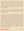'I've lost count of the number of times I've heard someone says they have an idea and want to invent a product … someday. Why wait? There is someone out there today who can benefit from your idea. Stop overthinking and start taking action. Get your ideas out of your "coffee cup."

Let this book serve as your guide, providing you with the key points to plan, fund, and market it. Within these chapters, you will

also learn how to create an effective elevator speech that will attract investors and the host of resources that will facilitate your product and its inception with minimal delays and costs. I look forward to walking you through the process of turning your idea into a viable product that can change lives—both your life and the life of the people you serve. There's a popular Chinese proverb that says: "The best time to plant a tree was 20 years ago. The second-best time is now." Someday is today. Reading this book is the first step in making your dream a reality. Let's get started.

#### **Ron F. Richard**